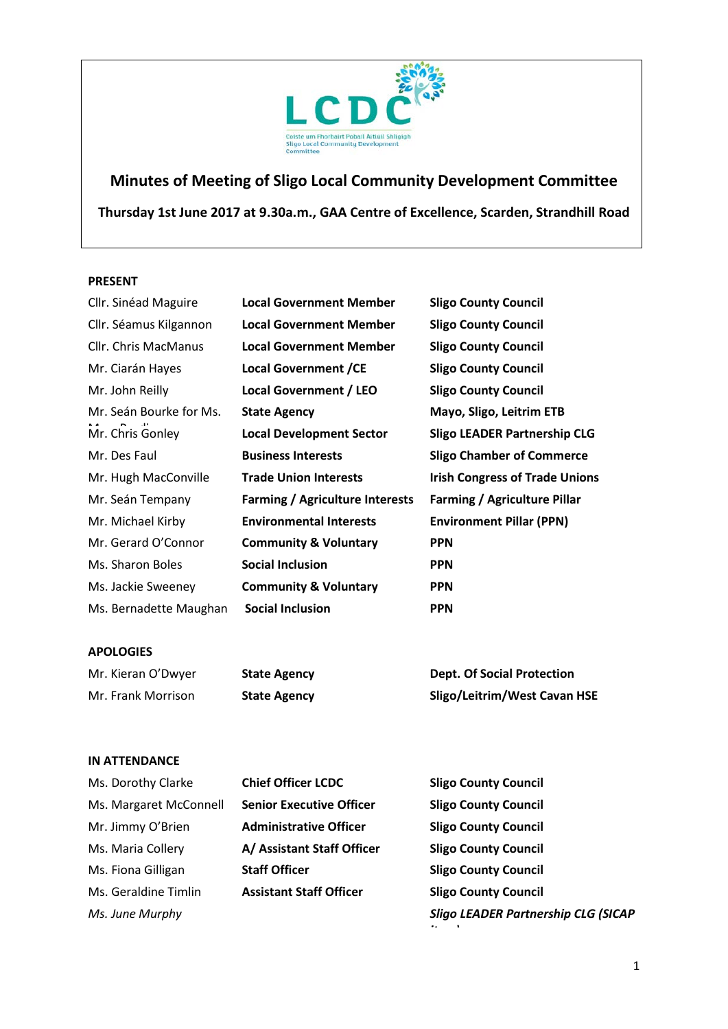

# **Minutes of Meeting of Sligo Local Community Development Committee**

**Thursday 1st June 2017 at 9.30a.m., GAA Centre of Excellence, Scarden, Strandhill Road**

#### **PRESENT**

| Cllr. Sinéad Maguire    | <b>Local Government Member</b>         | <b>Sligo County Council</b>           |
|-------------------------|----------------------------------------|---------------------------------------|
| Cllr. Séamus Kilgannon  | <b>Local Government Member</b>         | <b>Sligo County Council</b>           |
| Cllr. Chris MacManus    | <b>Local Government Member</b>         | <b>Sligo County Council</b>           |
| Mr. Ciarán Hayes        | <b>Local Government / CE</b>           | <b>Sligo County Council</b>           |
| Mr. John Reilly         | <b>Local Government / LEO</b>          | <b>Sligo County Council</b>           |
| Mr. Seán Bourke for Ms. | <b>State Agency</b>                    | Mayo, Sligo, Leitrim ETB              |
| Mr. Chris Gonley        | <b>Local Development Sector</b>        | <b>Sligo LEADER Partnership CLG</b>   |
| Mr. Des Faul            | <b>Business Interests</b>              | <b>Sligo Chamber of Commerce</b>      |
| Mr. Hugh MacConville    | <b>Trade Union Interests</b>           | <b>Irish Congress of Trade Unions</b> |
| Mr. Seán Tempany        | <b>Farming / Agriculture Interests</b> | <b>Farming / Agriculture Pillar</b>   |
| Mr. Michael Kirby       | <b>Environmental Interests</b>         | <b>Environment Pillar (PPN)</b>       |
| Mr. Gerard O'Connor     | <b>Community &amp; Voluntary</b>       | <b>PPN</b>                            |
| Ms. Sharon Boles        | <b>Social Inclusion</b>                | <b>PPN</b>                            |
| Ms. Jackie Sweeney      | <b>Community &amp; Voluntary</b>       | <b>PPN</b>                            |
| Ms. Bernadette Maughan  | <b>Social Inclusion</b>                | <b>PPN</b>                            |
|                         |                                        |                                       |

## **APOLOGIES**

| Mr. Kieran O'Dwyer | <b>State Agency</b> | <b>Dept. Of Social Protection</b>   |
|--------------------|---------------------|-------------------------------------|
| Mr. Frank Morrison | <b>State Agency</b> | <b>Sligo/Leitrim/West Cavan HSE</b> |

#### **IN ATTENDANCE**

| Ms. Dorothy Clarke     | <b>Chief Officer LCDC</b>       | <b>Sligo County Council</b>                      |
|------------------------|---------------------------------|--------------------------------------------------|
| Ms. Margaret McConnell | <b>Senior Executive Officer</b> | <b>Sligo County Council</b>                      |
| Mr. Jimmy O'Brien      | <b>Administrative Officer</b>   | <b>Sligo County Council</b>                      |
| Ms. Maria Collery      | A/ Assistant Staff Officer      | <b>Sligo County Council</b>                      |
| Ms. Fiona Gilligan     | <b>Staff Officer</b>            | <b>Sligo County Council</b>                      |
| Ms. Geraldine Timlin   | <b>Assistant Staff Officer</b>  | <b>Sligo County Council</b>                      |
| Ms. June Murphy        |                                 | <b>Sligo LEADER Partnership CLG (SICAP</b><br>٠. |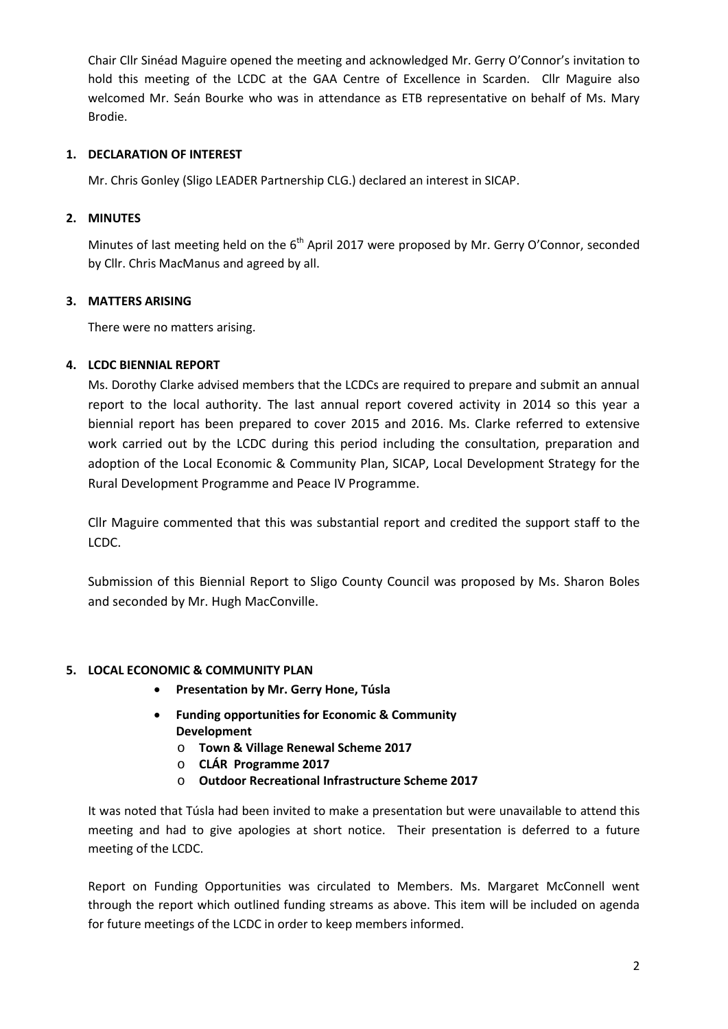Chair Cllr Sinéad Maguire opened the meeting and acknowledged Mr. Gerry O'Connor's invitation to hold this meeting of the LCDC at the GAA Centre of Excellence in Scarden. Cllr Maguire also welcomed Mr. Seán Bourke who was in attendance as ETB representative on behalf of Ms. Mary Brodie.

## **1. DECLARATION OF INTEREST**

Mr. Chris Gonley (Sligo LEADER Partnership CLG.) declared an interest in SICAP.

# **2. MINUTES**

Minutes of last meeting held on the  $6<sup>th</sup>$  April 2017 were proposed by Mr. Gerry O'Connor, seconded by Cllr. Chris MacManus and agreed by all.

# **3. MATTERS ARISING**

There were no matters arising.

# **4. LCDC BIENNIAL REPORT**

Ms. Dorothy Clarke advised members that the LCDCs are required to prepare and submit an annual report to the local authority. The last annual report covered activity in 2014 so this year a biennial report has been prepared to cover 2015 and 2016. Ms. Clarke referred to extensive work carried out by the LCDC during this period including the consultation, preparation and adoption of the Local Economic & Community Plan, SICAP, Local Development Strategy for the Rural Development Programme and Peace IV Programme.

Cllr Maguire commented that this was substantial report and credited the support staff to the LCDC.

Submission of this Biennial Report to Sligo County Council was proposed by Ms. Sharon Boles and seconded by Mr. Hugh MacConville.

## **5. LOCAL ECONOMIC & COMMUNITY PLAN**

- **Presentation by Mr. Gerry Hone, Túsla**
- **Funding opportunities for Economic & Community Development** 
	- o **Town & Village Renewal Scheme 2017**
	- o **CLÁR Programme 2017**
	- o **Outdoor Recreational Infrastructure Scheme 2017**

It was noted that Túsla had been invited to make a presentation but were unavailable to attend this meeting and had to give apologies at short notice. Their presentation is deferred to a future meeting of the LCDC.

Report on Funding Opportunities was circulated to Members. Ms. Margaret McConnell went through the report which outlined funding streams as above. This item will be included on agenda for future meetings of the LCDC in order to keep members informed.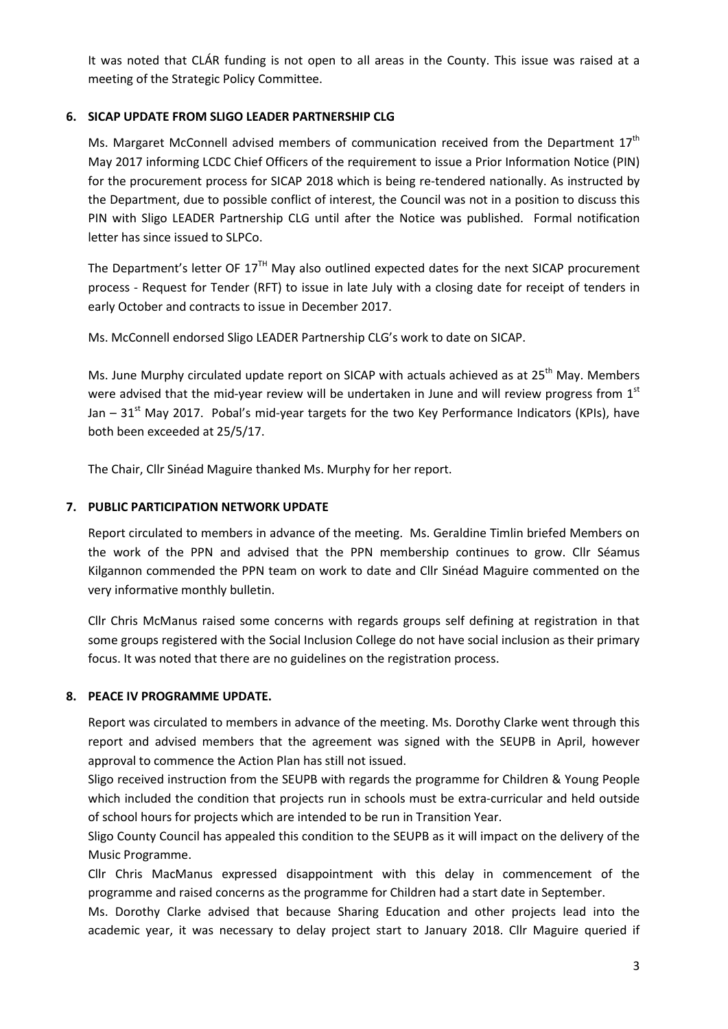It was noted that CLÁR funding is not open to all areas in the County. This issue was raised at a meeting of the Strategic Policy Committee.

## **6. SICAP UPDATE FROM SLIGO LEADER PARTNERSHIP CLG**

Ms. Margaret McConnell advised members of communication received from the Department  $17<sup>th</sup>$ May 2017 informing LCDC Chief Officers of the requirement to issue a Prior Information Notice (PIN) for the procurement process for SICAP 2018 which is being re-tendered nationally. As instructed by the Department, due to possible conflict of interest, the Council was not in a position to discuss this PIN with Sligo LEADER Partnership CLG until after the Notice was published. Formal notification letter has since issued to SLPCo.

The Department's letter OF  $17<sup>TH</sup>$  May also outlined expected dates for the next SICAP procurement process - Request for Tender (RFT) to issue in late July with a closing date for receipt of tenders in early October and contracts to issue in December 2017.

Ms. McConnell endorsed Sligo LEADER Partnership CLG's work to date on SICAP.

Ms. June Murphy circulated update report on SICAP with actuals achieved as at 25<sup>th</sup> May. Members were advised that the mid-year review will be undertaken in June and will review progress from 1st Jan –  $31<sup>st</sup>$  May 2017. Pobal's mid-year targets for the two Key Performance Indicators (KPIs), have both been exceeded at 25/5/17.

The Chair, Cllr Sinéad Maguire thanked Ms. Murphy for her report.

## **7. PUBLIC PARTICIPATION NETWORK UPDATE**

Report circulated to members in advance of the meeting. Ms. Geraldine Timlin briefed Members on the work of the PPN and advised that the PPN membership continues to grow. Cllr Séamus Kilgannon commended the PPN team on work to date and Cllr Sinéad Maguire commented on the very informative monthly bulletin.

Cllr Chris McManus raised some concerns with regards groups self defining at registration in that some groups registered with the Social Inclusion College do not have social inclusion as their primary focus. It was noted that there are no guidelines on the registration process.

## **8. PEACE IV PROGRAMME UPDATE.**

Report was circulated to members in advance of the meeting. Ms. Dorothy Clarke went through this report and advised members that the agreement was signed with the SEUPB in April, however approval to commence the Action Plan has still not issued.

Sligo received instruction from the SEUPB with regards the programme for Children & Young People which included the condition that projects run in schools must be extra-curricular and held outside of school hours for projects which are intended to be run in Transition Year.

Sligo County Council has appealed this condition to the SEUPB as it will impact on the delivery of the Music Programme.

Cllr Chris MacManus expressed disappointment with this delay in commencement of the programme and raised concerns as the programme for Children had a start date in September.

Ms. Dorothy Clarke advised that because Sharing Education and other projects lead into the academic year, it was necessary to delay project start to January 2018. Cllr Maguire queried if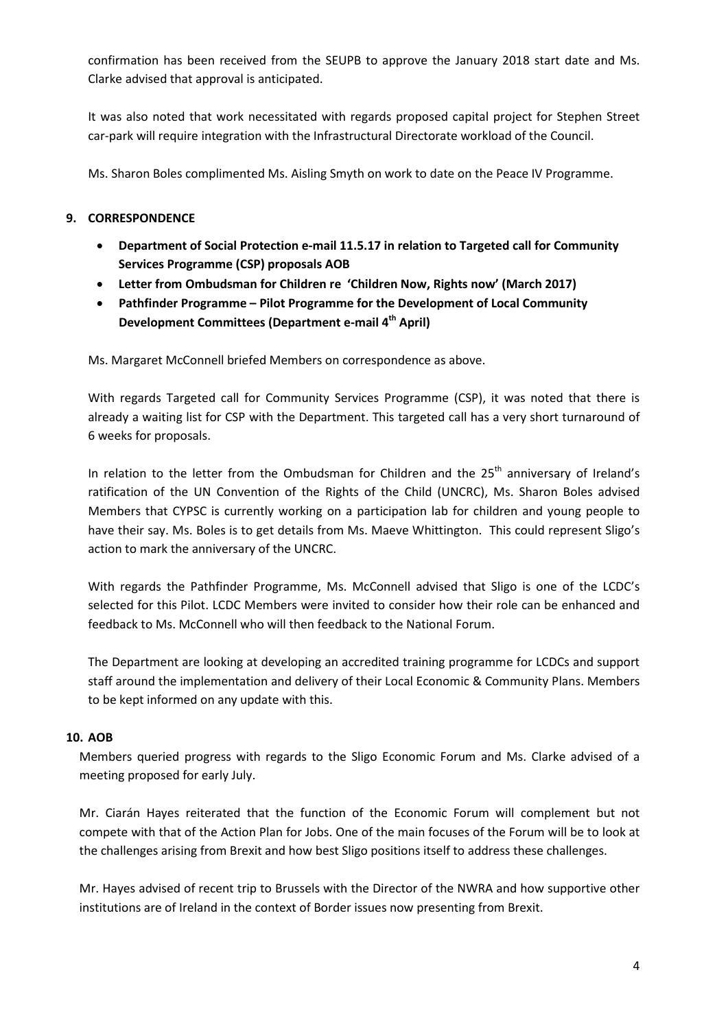confirmation has been received from the SEUPB to approve the January 2018 start date and Ms. Clarke advised that approval is anticipated.

It was also noted that work necessitated with regards proposed capital project for Stephen Street car-park will require integration with the Infrastructural Directorate workload of the Council.

Ms. Sharon Boles complimented Ms. Aisling Smyth on work to date on the Peace IV Programme.

#### **9. CORRESPONDENCE**

- **Department of Social Protection e-mail 11.5.17 in relation to Targeted call for Community Services Programme (CSP) proposals AOB**
- **Letter from Ombudsman for Children re 'Children Now, Rights now' (March 2017)**
- **Pathfinder Programme – Pilot Programme for the Development of Local Community Development Committees (Department e-mail 4th April)**

Ms. Margaret McConnell briefed Members on correspondence as above.

With regards Targeted call for Community Services Programme (CSP), it was noted that there is already a waiting list for CSP with the Department. This targeted call has a very short turnaround of 6 weeks for proposals.

In relation to the letter from the Ombudsman for Children and the 25<sup>th</sup> anniversary of Ireland's ratification of the UN Convention of the Rights of the Child (UNCRC), Ms. Sharon Boles advised Members that CYPSC is currently working on a participation lab for children and young people to have their say. Ms. Boles is to get details from Ms. Maeve Whittington. This could represent Sligo's action to mark the anniversary of the UNCRC.

With regards the Pathfinder Programme, Ms. McConnell advised that Sligo is one of the LCDC's selected for this Pilot. LCDC Members were invited to consider how their role can be enhanced and feedback to Ms. McConnell who will then feedback to the National Forum.

The Department are looking at developing an accredited training programme for LCDCs and support staff around the implementation and delivery of their Local Economic & Community Plans. Members to be kept informed on any update with this.

#### **10. AOB**

Members queried progress with regards to the Sligo Economic Forum and Ms. Clarke advised of a meeting proposed for early July.

Mr. Ciarán Hayes reiterated that the function of the Economic Forum will complement but not compete with that of the Action Plan for Jobs. One of the main focuses of the Forum will be to look at the challenges arising from Brexit and how best Sligo positions itself to address these challenges.

Mr. Hayes advised of recent trip to Brussels with the Director of the NWRA and how supportive other institutions are of Ireland in the context of Border issues now presenting from Brexit.